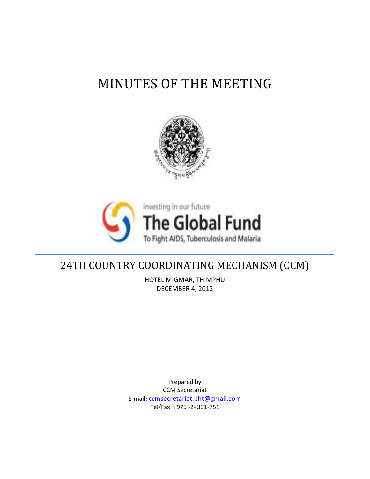# MINUTES OF THE MEETING





# 24TH COUNTRY COORDINATING MECHANISM (CCM)

HOTEL MIGMAR, THIMPHU DECEMBER 4, 2012

Prepared by CCM Secretariat E-mail: [ccmsecretariat.bht@gmail.com](mailto:ccmsecretariat.bht@gmail.com) Tel/Fax: +975 -2- 331-751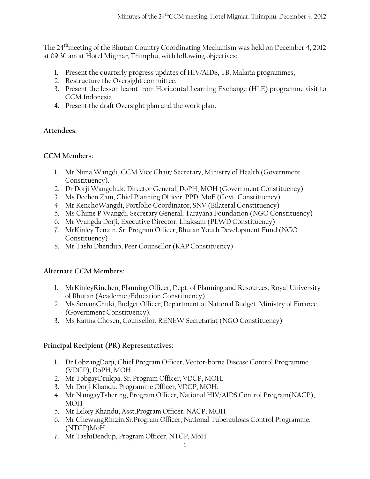The 24thmeeting of the Bhutan Country Coordinating Mechanism was held on December 4, 2012 at 09:30 am at Hotel Migmar, Thimphu, with following objectives:

- 1. Present the quarterly progress updates of HIV/AIDS, TB, Malaria programmes,
- 2. Restructure the Oversight committee,
- 3. Present the lesson learnt from Horizontal Learning Exchange (HLE) programme visit to CCM Indonesia,
- 4. Present the draft Oversight plan and the work plan.

## **Attendees:**

## **CCM Members:**

- 1. Mr Nima Wangdi, CCM Vice Chair/ Secretary, Ministry of Health (Government Constituency).
- 2. Dr Dorji Wangchuk, Director General, DoPH, MOH (Government Constituency)
- 3. Ms Dechen Zam, Chief Planning Officer, PPD, MoE (Govt. Constituency)
- 4. Mr KenchoWangdi, Portfolio Coordinator, SNV (Bilateral Constituency)
- 5. Ms Chime P Wangdi, Secretary General, Tarayana Foundation (NGO Constituency)
- 6. Mr Wangda Dorji, Executive Director, Lhaksam (PLWD Constituency)
- 7. MrKinley Tenzin, Sr. Program Officer, Bhutan Youth Development Fund (NGO Constituency)
- 8. Mr Tashi Dhendup, Peer Counsellor (KAP Constituency)

# **Alternate CCM Members:**

- 1. MrKinleyRinchen, Planning Officer, Dept. of Planning and Resources, Royal University of Bhutan (Academic /Education Constituency).
- 2. Ms SonamChuki, Budget Officer, Department of National Budget, Ministry of Finance (Government Constituency).
- 3. Ms Karma Chosen, Counsellor, RENEW Secretariat (NGO Constituency)

# **Principal Recipient (PR) Representatives:**

- 1. Dr LobzangDorji, Chief Program Officer, Vector-borne Disease Control Programme (VDCP), DoPH, MOH
- 2. Mr TobgayDrukpa, Sr. Program Officer, VDCP, MOH.
- 3. Mr Dorji Khandu, Programme Officer, VDCP, MOH.
- 4. Mr NamgayTshering, Program Officer, National HIV/AIDS Control Program(NACP), MOH
- 5. Mr Lekey Khandu, Asst.Program Officer, NACP, MOH
- 6. Mr ChewangRinzin,Sr.Program Officer, National Tuberculosis Control Programme, (NTCP)MoH
- 7. Mr TashiDendup, Program Officer, NTCP, MoH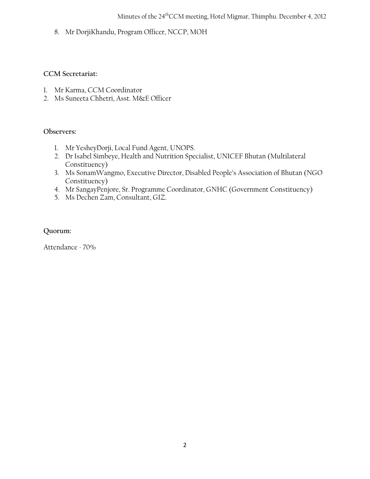8. Mr DorjiKhandu, Program Officer, NCCP, MOH

#### **CCM Secretariat:**

- 1. Mr Karma, CCM Coordinator
- 2. Ms Suneeta Chhetri, Asst. M&E Officer

#### **Observers:**

- 1. Mr YesheyDorji, Local Fund Agent, UNOPS.
- 2. Dr Isabel Simbeye, Health and Nutrition Specialist, UNICEF Bhutan (Multilateral Constituency)
- 3. Ms SonamWangmo, Executive Director, Disabled People's Association of Bhutan (NGO Constituency)
- 4. Mr SangayPenjore, Sr. Programme Coordinator, GNHC (Government Constituency)
- 5. Ms Dechen Zam, Consultant, GIZ.

#### **Quorum:**

Attendance - 70%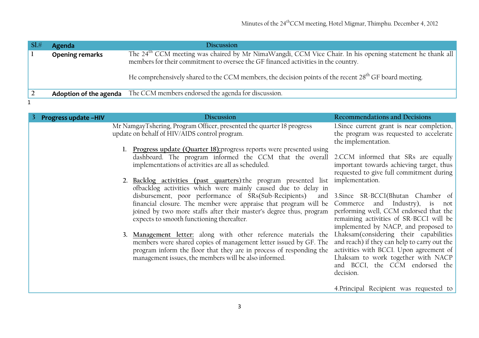| $SI.$ #                                                                                                      | Agenda                 | <b>Discussion</b>                                                                                          |
|--------------------------------------------------------------------------------------------------------------|------------------------|------------------------------------------------------------------------------------------------------------|
| <b>Opening remarks</b><br>members for their commitment to oversee the GF financed activities in the country. |                        | The $24th$ CCM meeting was chaired by Mr NimaWangdi, CCM Vice Chair. In his opening statement he thank all |
|                                                                                                              |                        | He comprehensively shared to the CCM members, the decision points of the recent $28th$ GF board meeting.   |
|                                                                                                              | Adoption of the agenda | The CCM members endorsed the agenda for discussion.                                                        |
|                                                                                                              |                        |                                                                                                            |

| <b>Progress update -HIV</b> | <b>Discussion</b>                                                                                                                                                                                                                                                                                                                                                                                                                                                                                               | <b>Recommendations and Decisions</b>                                                                                                                                                                                    |
|-----------------------------|-----------------------------------------------------------------------------------------------------------------------------------------------------------------------------------------------------------------------------------------------------------------------------------------------------------------------------------------------------------------------------------------------------------------------------------------------------------------------------------------------------------------|-------------------------------------------------------------------------------------------------------------------------------------------------------------------------------------------------------------------------|
|                             | Mr NamgayTshering, Program Officer, presented the quarter 18 progress<br>update on behalf of HIV/AIDS control program.                                                                                                                                                                                                                                                                                                                                                                                          | 1. Since current grant is near completion,<br>the program was requested to accelerate<br>the implementation.                                                                                                            |
|                             | 1. Progress update (Quarter 18): progress reports were presented using<br>dashboard. The program informed the CCM that the overall 2.CCM informed that SRs are equally<br>implementations of activities are all as scheduled.                                                                                                                                                                                                                                                                                   | important towards achieving target, thus<br>requested to give full commitment during                                                                                                                                    |
|                             | 2. Backlog activities (past quarters): the program presented list implementation.<br>ofbacklog activities which were mainly caused due to delay in<br>disbursement, poor performance of SRs(Sub-Recipients) and 3.Since SR-BCCI(Bhutan Chamber of<br>financial closure. The member were appraise that program will be Commerce and Industry), is not<br>joined by two more staffs after their master's degree thus, program performing well, CCM endorsed that the<br>expects to smooth functioning thereafter. | remaining activities of SR-BCCI will be<br>implemented by NACP, and proposed to                                                                                                                                         |
|                             | 3. Management letter: along with other reference materials the<br>members were shared copies of management letter issued by GF. The<br>program inform the floor that they are in process of responding the<br>management issues, the members will be also informed.                                                                                                                                                                                                                                             | Lhaksam (considering their capabilities<br>and reach) if they can help to carry out the<br>activities with BCCI. Upon agreement of<br>Lhaksam to work together with NACP<br>and BCCI, the CCM endorsed the<br>decision. |
|                             |                                                                                                                                                                                                                                                                                                                                                                                                                                                                                                                 | 4. Principal Recipient was requested to                                                                                                                                                                                 |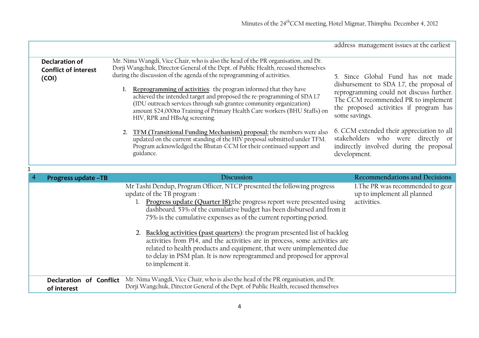|                                                               |                                                                                                                                                                                                                                                                                                                                                                                                                                                                                                                                                                                                                                                                                                                                                                                                                                                  | address management issues at the earliest                                                                                                                                                                                                                                                                                                                                |
|---------------------------------------------------------------|--------------------------------------------------------------------------------------------------------------------------------------------------------------------------------------------------------------------------------------------------------------------------------------------------------------------------------------------------------------------------------------------------------------------------------------------------------------------------------------------------------------------------------------------------------------------------------------------------------------------------------------------------------------------------------------------------------------------------------------------------------------------------------------------------------------------------------------------------|--------------------------------------------------------------------------------------------------------------------------------------------------------------------------------------------------------------------------------------------------------------------------------------------------------------------------------------------------------------------------|
| <b>Declaration of</b><br><b>Conflict of interest</b><br>(COI) | Mr. Nima Wangdi, Vice Chair, who is also the head of the PR organisation, and Dr.<br>Dorji Wangchuk, Director General of the Dept. of Public Health, recused themselves<br>during the discussion of the agenda of the reprogramming of activities.<br>Reprogramming of activities: the program informed that they have<br>1.<br>achieved the intended target and proposed the re-programming of SDA 1.7<br>(IDU outreach services through sub grantee community organization)<br>amount \$24,000to Training of Primary Health Care workers (BHU Staffs) on<br>HIV, RPR and HBsAg screening.<br><b>TFM (Transitional Funding Mechanism) proposal:</b> the members were also<br>2.<br>updated on the current standing of the HIV proposal submitted under TFM.<br>Program acknowledged the Bhutan-CCM for their continued support and<br>guidance. | 5. Since Global Fund has not made<br>disbursement to SDA 1.7, the proposal of<br>reprogramming could not discuss further.<br>The CCM recommended PR to implement<br>the proposed activities if program has<br>some savings.<br>6. CCM extended their appreciation to all<br>stakeholders who were directly or<br>indirectly involved during the proposal<br>development. |
| <b>Progress update -TB</b>                                    | <b>Discussion</b>                                                                                                                                                                                                                                                                                                                                                                                                                                                                                                                                                                                                                                                                                                                                                                                                                                | <b>Recommendations and Decisions</b>                                                                                                                                                                                                                                                                                                                                     |
|                                                               | Mr Tashi Dendup, Program Officer, NTCP presented the following progress<br>update of the TB program :<br>1. Progress update (Quarter 18): the progress report were presented using<br>dashboard. 53% of the cumulative budget has been disbursed and from it<br>75% is the cumulative expenses as of the current reporting period.<br>Backlog activities (past quarters): the program presented list of backlog<br>2.<br>activities from P14, and the activities are in process, some activities are<br>related to health products and equipment, that were unimplemented due<br>to delay in PSM plan. It is now reprogrammed and proposed for approval<br>to implement it.                                                                                                                                                                      | 1. The PR was recommended to gear<br>up to implement all planned<br>activities.                                                                                                                                                                                                                                                                                          |
| of interest                                                   | Declaration of Conflict Mr. Nima Wangdi, Vice Chair, who is also the head of the PR organisation, and Dr.<br>Dorji Wangchuk, Director General of the Dept. of Public Health, recused themselves                                                                                                                                                                                                                                                                                                                                                                                                                                                                                                                                                                                                                                                  |                                                                                                                                                                                                                                                                                                                                                                          |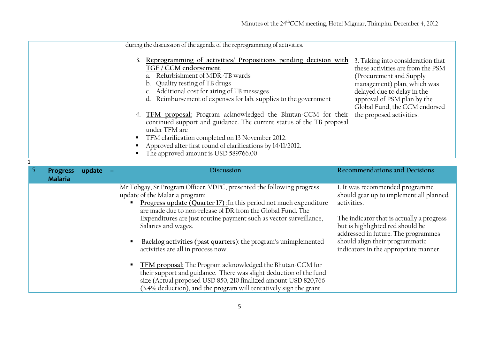|                                                                                                                                                                                                                                                                                                                                                                                                                                                                                                                                                                                                               |                                                  | during the discussion of the agenda of the reprogramming of activities.                                                                                                                                                                                                |                                                                                                                                                                                                                 |
|---------------------------------------------------------------------------------------------------------------------------------------------------------------------------------------------------------------------------------------------------------------------------------------------------------------------------------------------------------------------------------------------------------------------------------------------------------------------------------------------------------------------------------------------------------------------------------------------------------------|--------------------------------------------------|------------------------------------------------------------------------------------------------------------------------------------------------------------------------------------------------------------------------------------------------------------------------|-----------------------------------------------------------------------------------------------------------------------------------------------------------------------------------------------------------------|
| 3. Reprogramming of activities/ Propositions pending decision with<br>TGF / CCM endorsement<br>Refurbishment of MDR-TB wards<br>Quality testing of TB drugs<br>b.<br>c. Additional cost for airing of TB messages<br>d. Reimbursement of expenses for lab. supplies to the government<br>4. TFM proposal: Program acknowledged the Bhutan-CCM for their<br>continued support and guidance. The current status of the TB proposal<br>under TFM are:<br>TFM clarification completed on 13 November 2012.<br>Approved after first round of clarifications by 14/11/2012.<br>The approved amount is USD 589766.00 |                                                  | 3. Taking into consideration that<br>these activities are from the PSM<br>(Procurement and Supply)<br>management) plan, which was<br>delayed due to delay in the<br>approval of PSM plan by the<br>Global Fund, the CCM endorsed<br>the proposed activities.           |                                                                                                                                                                                                                 |
|                                                                                                                                                                                                                                                                                                                                                                                                                                                                                                                                                                                                               |                                                  |                                                                                                                                                                                                                                                                        |                                                                                                                                                                                                                 |
|                                                                                                                                                                                                                                                                                                                                                                                                                                                                                                                                                                                                               | 5<br><b>Progress</b><br>update<br><b>Malaria</b> | <b>Discussion</b>                                                                                                                                                                                                                                                      | <b>Recommendations and Decisions</b>                                                                                                                                                                            |
|                                                                                                                                                                                                                                                                                                                                                                                                                                                                                                                                                                                                               |                                                  | Mr Tobgay, Sr.Program Officer, VDPC, presented the following progress<br>update of the Malaria program:<br>Progress update (Quarter 17): In this period not much expenditure                                                                                           | 1. It was recommended programme<br>should gear up to implement all planned                                                                                                                                      |
|                                                                                                                                                                                                                                                                                                                                                                                                                                                                                                                                                                                                               |                                                  | are made due to non-release of DR from the Global Fund. The<br>Expenditures are just routine payment such as vector surveillance,<br>Salaries and wages.<br>Backlog activities (past quarters): the program's unimplemented<br>п<br>activities are all in process now. | activities.<br>The indicator that is actually a progress<br>but is highlighted red should be<br>addressed in future. The programmes<br>should align their programmatic<br>indicators in the appropriate manner. |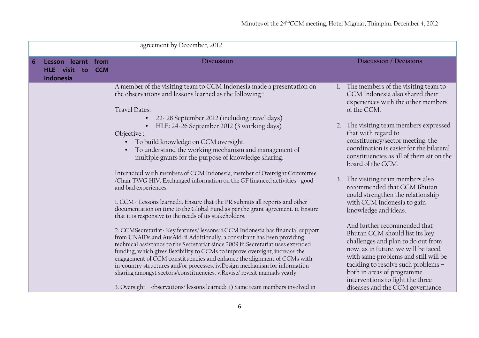|   | agreement by December, 2012                   |                    |                                                                                                                                                                                                                                                                                                                                                                                                                                                                                                                                                                                                                                                       |                |                                                                                                                                                                                                                                                                                                                                  |
|---|-----------------------------------------------|--------------------|-------------------------------------------------------------------------------------------------------------------------------------------------------------------------------------------------------------------------------------------------------------------------------------------------------------------------------------------------------------------------------------------------------------------------------------------------------------------------------------------------------------------------------------------------------------------------------------------------------------------------------------------------------|----------------|----------------------------------------------------------------------------------------------------------------------------------------------------------------------------------------------------------------------------------------------------------------------------------------------------------------------------------|
| 6 | Lesson learnt<br>HLE visit<br>to<br>Indonesia | from<br><b>CCM</b> | <b>Discussion</b>                                                                                                                                                                                                                                                                                                                                                                                                                                                                                                                                                                                                                                     |                | <b>Discussion / Decisions</b>                                                                                                                                                                                                                                                                                                    |
|   |                                               |                    | A member of the visiting team to CCM Indonesia made a presentation on<br>the observations and lessons learned as the following:<br>Travel Dates:<br>22 - 28 September 2012 (including travel days)                                                                                                                                                                                                                                                                                                                                                                                                                                                    | $\mathbf{1}$ . | The members of the visiting team to<br>CCM Indonesia also shared their<br>experiences with the other members<br>of the CCM.                                                                                                                                                                                                      |
|   |                                               |                    | HLE: 24-26 September 2012 (3 working days)<br>Objective:<br>To build knowledge on CCM oversight<br>To understand the working mechanism and management of<br>multiple grants for the purpose of knowledge sharing.                                                                                                                                                                                                                                                                                                                                                                                                                                     |                | 2. The visiting team members expressed<br>that with regard to<br>constituency/sector meeting, the<br>coordination is easier for the bilateral<br>constituencies as all of them sit on the<br>board of the CCM.                                                                                                                   |
|   |                                               |                    | Interacted with members of CCM Indonesia, member of Oversight Committee<br>/Chair TWG HIV. Exchanged information on the GF financed activities - good<br>and bad experiences.<br>1. CCM - Lessons learned:i. Ensure that the PR submits all reports and other<br>documentation on time to the Global Fund as per the grant agreement. ii. Ensure<br>that it is responsive to the needs of its stakeholders.                                                                                                                                                                                                                                           |                | 3. The visiting team members also<br>recommended that CCM Bhutan<br>could strengthen the relationship<br>with CCM Indonesia to gain<br>knowledge and ideas.                                                                                                                                                                      |
|   |                                               |                    | 2. CCMSecretariat-Key features/ lessons: i.CCM Indonesia has financial support<br>from UNAIDs and AusAid. ii.Additionally, a consultant has been providing<br>technical assistance to the Secretariat since 2009.iii.Secretariat uses extended<br>funding, which gives flexibility to CCMs to improve oversight, increase the<br>engagement of CCM constituencies and enhance the alignment of CCMs with<br>in-country structures and/or processes. iv.Design mechanism for information<br>sharing amongst sectors/constituencies. v.Revise/revisit manuals yearly.<br>3. Oversight - observations/ lessons learned: i) Same team members involved in |                | And further recommended that<br>Bhutan CCM should list its key<br>challenges and plan to do out from<br>now, as in future, we will be faced<br>with same problems and still will be<br>tackling to resolve such problems -<br>both in areas of programme<br>interventions to fight the three<br>diseases and the CCM governance. |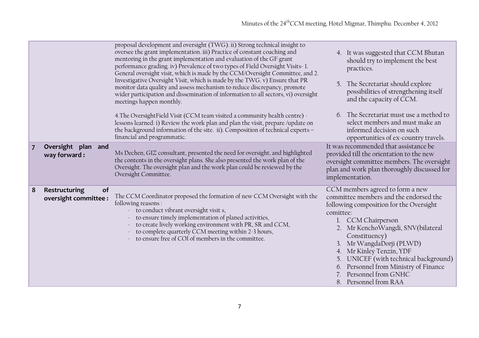|                |                                              | proposal development and oversight (TWG). ii) Strong technical insight to<br>oversee the grant implementation. iii) Practice of constant coaching and<br>mentoring in the grant implementation and evaluation of the GF grant<br>performance grading. iv) Prevalence of two types of Field Oversight Visits-1.<br>General oversight visit, which is made by the CCM/Oversight Committee, and 2.<br>Investigative Oversight Visit, which is made by the TWG. v) Ensure that PR<br>monitor data quality and assess mechanism to reduce discrepancy, promote<br>wider participation and dissemination of information to all sectors, vi) oversight<br>meetings happen monthly.<br>4. The Oversight Field Visit (CCM team visited a community health centre)<br>lessons learned: i) Review the work plan and plan the visit, prepare /update on<br>the background information of the site. ii). Composition of technical experts -<br>financial and programmatic. | 4. It was suggested that CCM Bhutan<br>should try to implement the best<br>practices.<br>5. The Secretariat should explore<br>possibilities of strengthening itself<br>and the capacity of CCM.<br>6. The Secretariat must use a method to<br>select members and must make an<br>informed decision on such<br>opportunities of ex-country travels.                                                                    |
|----------------|----------------------------------------------|---------------------------------------------------------------------------------------------------------------------------------------------------------------------------------------------------------------------------------------------------------------------------------------------------------------------------------------------------------------------------------------------------------------------------------------------------------------------------------------------------------------------------------------------------------------------------------------------------------------------------------------------------------------------------------------------------------------------------------------------------------------------------------------------------------------------------------------------------------------------------------------------------------------------------------------------------------------|-----------------------------------------------------------------------------------------------------------------------------------------------------------------------------------------------------------------------------------------------------------------------------------------------------------------------------------------------------------------------------------------------------------------------|
| $\overline{7}$ | Oversight<br>plan and<br>way forward:        | Ms Dechen, GIZ consultant, presented the need for oversight, and highlighted<br>the contents in the oversight plans. She also presented the work plan of the<br>Oversight. The oversight plan and the work plan could be reviewed by the<br>Oversight Committee.                                                                                                                                                                                                                                                                                                                                                                                                                                                                                                                                                                                                                                                                                              | It was recommended that assistance be<br>provided till the orientation to the new<br>oversight committee members. The oversight<br>plan and work plan thoroughly discussed for<br>implementation.                                                                                                                                                                                                                     |
| 8              | Restructuring<br>of<br>oversight committee : | The CCM Coordinator proposed the formation of new CCM Oversight with the<br>following reasons :<br>to conduct vibrant oversight visit s,<br>to ensure timely implementation of planed activities,<br>to create lively working environment with PR, SR and CCM,<br>to complete quarterly CCM meeting within 2-3 hours,<br>to ensure free of COI of members in the committee.                                                                                                                                                                                                                                                                                                                                                                                                                                                                                                                                                                                   | CCM members agreed to form a new<br>committee members and the endorsed the<br>following composition for the Oversight<br>comittee:<br><b>CCM Chairperson</b><br>2. Mr KenchoWangdi, SNV(bilateral<br>Constituency)<br>Mr WangdaDorji (PLWD)<br>3.<br>4. Mr Kinley Tenzin, YDF<br>UNICEF (with technical background)<br>5.<br>Personnel from Ministry of Finance<br>6.<br>Personnel from GNHC<br>8. Personnel from RAA |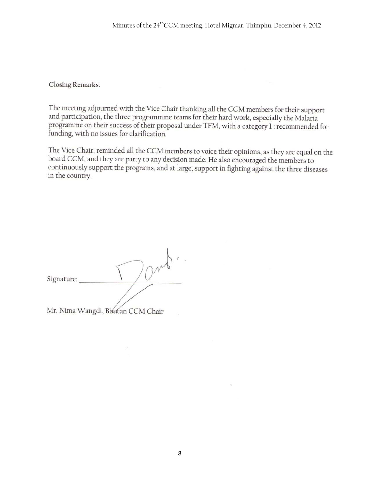**Closing Remarks:** 

The meeting adjourned with the Vice Chair thanking all the CCM members for their support and participation, the three programmme teams for their hard work, especially the Malaria programme on their success of their proposal under TFM, with a category 1 : recommended for funding, with no issues for clarification.

The Vice Chair, reminded all the CCM members to voice their opinions, as they are equal on the board CCM, and they are party to any decision made. He also encouraged the members to continuously support the programs, and at large, support in fighting against the three diseases in the country.

| Signature: |  |
|------------|--|
|            |  |

Mr. Nima Wangdi, Bhutan CCM Chair